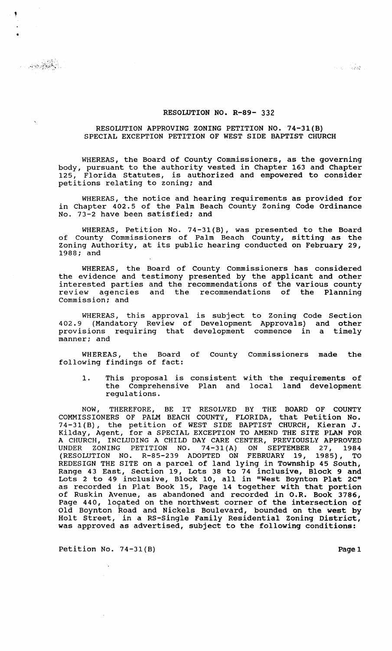## RESOLUTION NO. R-89- 332

## RESOLUTION APPROVING ZONING PETITION NO. 74-31(B) SPECIAL EXCEPTION PETITION OF WEST SIDE BAPTIST CHURCH

WHEREAS, the Board of County Commissioners, as the governing body, pursuant to the authority vested in Chapter 163 and Chapter<br>125, Florida Statutes, is authorized and empowered to consider Florida Statutes, is authorized and empowered to consider petitions relating to zoning; and

WHEREAS, the notice and hearing requirements as provided for in Chapter 402.5 of the Palm Beach County Zoning Code Ordinance No. 73-2 have been satisfied; and

WHEREAS, Petition No. 74-31(B), was presented to the Board of County Commissioners of Palm Beach County, sitting as the Zoning Authority, at its public hearing conducted on February 29, 1988; and

WHEREAS, the Board of County Commissioners has considered the evidence and testimony presented by the applicant and other interested parties and the recommendations of the various county<br>review agencies and the recommendations of the Planning agencies and the recommendations of the Planning commission; and

WHEREAS, this approval is subject to Zoning Code Section 402.9 (Mandatory Review of Development Approvals) and other provisions requiring that development commence in a timely manner; and

WHEREAS, the Board of County Commissioners made the following findings of fact:

1. This proposal is consistent with the requirements of the Comprehensive Plan and local land development regulations.

NOW, THEREFORE, BE IT RESOLVED BY THE BOARD OF COUNTY COMMISSIONERS OF PALM BEACH COUNTY, FLORIDA, that Petition No. 74-31 (B), the petition of WEST SIDE BAPTIST CHURCH, Kieran J. Kilday, Agent, for a SPECIAL EXCEPTION TO AMEND THE SITE PLAN FOR A CHURCH, INCLUDING A CHILD DAY CARE CENTER, PREVIOUSLY APPROVED UNDER ZONING PETITION NO. 74-31(A) ON SEPTEMBER 27, 1984 (RESOLUTION NO. R-85-239 ADOPTED ON FEBRUARY 19, 1985), TO REDESIGN THE SITE on a parcel of land lying in Township 45 South, Range 43 East, section 19, Lots 38 to 74 inclusive, Block 9 and Lots 2 to 49 inclusive, Block 10, all in "West Boynton Plat 2C" as recorded in Plat Book 15, Page 14 together with that portion of Ruskin Avenue, as abandoned and recorded in O.R. Book 3786, Page 440, located on the northwest corner of the intersection of Old Boynton Road and Nickels Boulevard, bounded on the west by ord Boyneon Rodd and Rickers Bodrevard, Bodnacd on the West By was approved as advertised, subject to the following conditions:

Petition No. 74-31(B) Page 1

 $\cdot$ 

,

•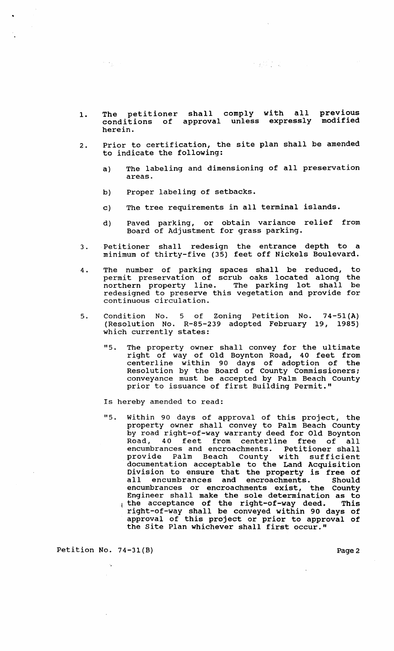- 1. The petitioner conditions of herein. shall comply approval unless with all expressly previous modified
- 2. Prior to certification, the site plan shall be amended to indicate the following:
	- a) The labeling and dimensioning of all preservation areas.

大家的人的

b) Proper labeling of setbacks.

 $\mathcal{D}^{\text{max}}_{\text{max}}$ 

- c) The tree requirements in all terminal islands.
- d) Paved parking, or obtain variance relief from Board of Adjustment for grass parking.
- 3. Petitioner shall redesign the entrance depth to a minimum of thirty-five (35) feet off Nickels Boulevard.
- 4 . The number of parking spaces shall be reduced, permit preservation of scrub oaks located along northern property line. The parking lot shall redesigned to preserve this vegetation and provide for continuous circulation. to the be
- 5. Condition No. 5 of Zoning Petition No. (Resolution No. R-85-239 adopted February which currently states: 74-51(A) 19, 1985)
	- "5. The property owner shall convey for the ultimate right of way of Old Boynton Road, 40 feet from centerline within 90 days of adoption of the Resolution by the Board of County Commissioners; conveyance must be accepted by Palm Beach County prior to issuance of first Building Permit."

Is hereby amended to read:

"5. within 90 days of approval of this project, the property owner shall convey to Palm Beach County by road right-of-way warranty deed for Old Boynton Road, 40 feet from centerline free of all encumbrances and encroachments. Petitioner shall provide Palm Beach County with SUfficient documentation acceptable to the Land Acquisition Division to ensure that the property is free of Brytston co ensure that the property is free of<br>all encumbrances and encroachments. Should encumbrances or encroachments exist, the County Engineer shall make the sole determination as to the acceptance of the right-of-way deed. This right-of-way shall be conveyed within 90 days of approval of this project or prior to approval of the site Plan whichever shall first occur."

Petition No. 74-31(B) Page 2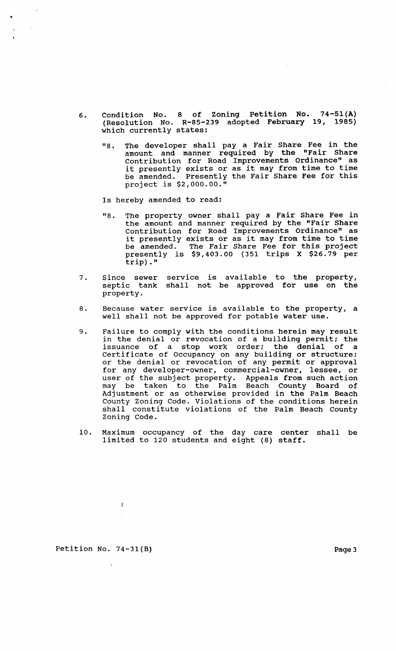- 6. Condition No. 8 of Zoning Petition No. (Resolution No. R-85-239 adopted February which currently states: 74-51(A) 19, 1985)
	- "8. The developer shall pay a Fair Share Fee in the amount and manner required by the "Fair Share contribution for Road Improvements Ordinance" as it presently exists or as it may from time to time be amended. Presently the Fair Share Fee for this project is \$2,000.00."

 $\frac{1}{2}\int_{0}^{\frac{1}{2}}\frac{dx}{y}dy$ 

Is hereby amended to read:

..

- "8. The property owner shall pay a Fair Share Fee in the amount and manner required by the "Fair Share contribution for Road Improvements Ordinance" as it presently exists or as it may from time to time be amended. The Fair Share Fee for this project presently is \$9,403.00 (351 trips X \$26.79 per trip)."
- 7. Since sewer septic tank property. service is shall not available to the property, be approved for use on the
- 8. Because water service is available to the property, a well shall not be approved for potable water use.
- 9. Failure to comply with the conditions herein may result in the denial or revocation of a building permit; the issuance of a stop work order; the denial of a Certificate of Occupancy on any building or structure; or the denial or revocation of any permit or approval for any developer-owner, commercial-owner, lessee, or user of the subject property. Appeals from such action may be taken to the Palm Beach County Board of Adjustment or as otherwise provided in the Palm Beach County Zoning Code. Violations of the conditions herein shall constitute violations of the Palm Beach County Zoning Code.
- 10. Maximum occupancy of the day care center shall be limited to 120 students and eight (8) staff.

Petition No. 74-31(B) Page 3

 $\mathbf{I}$